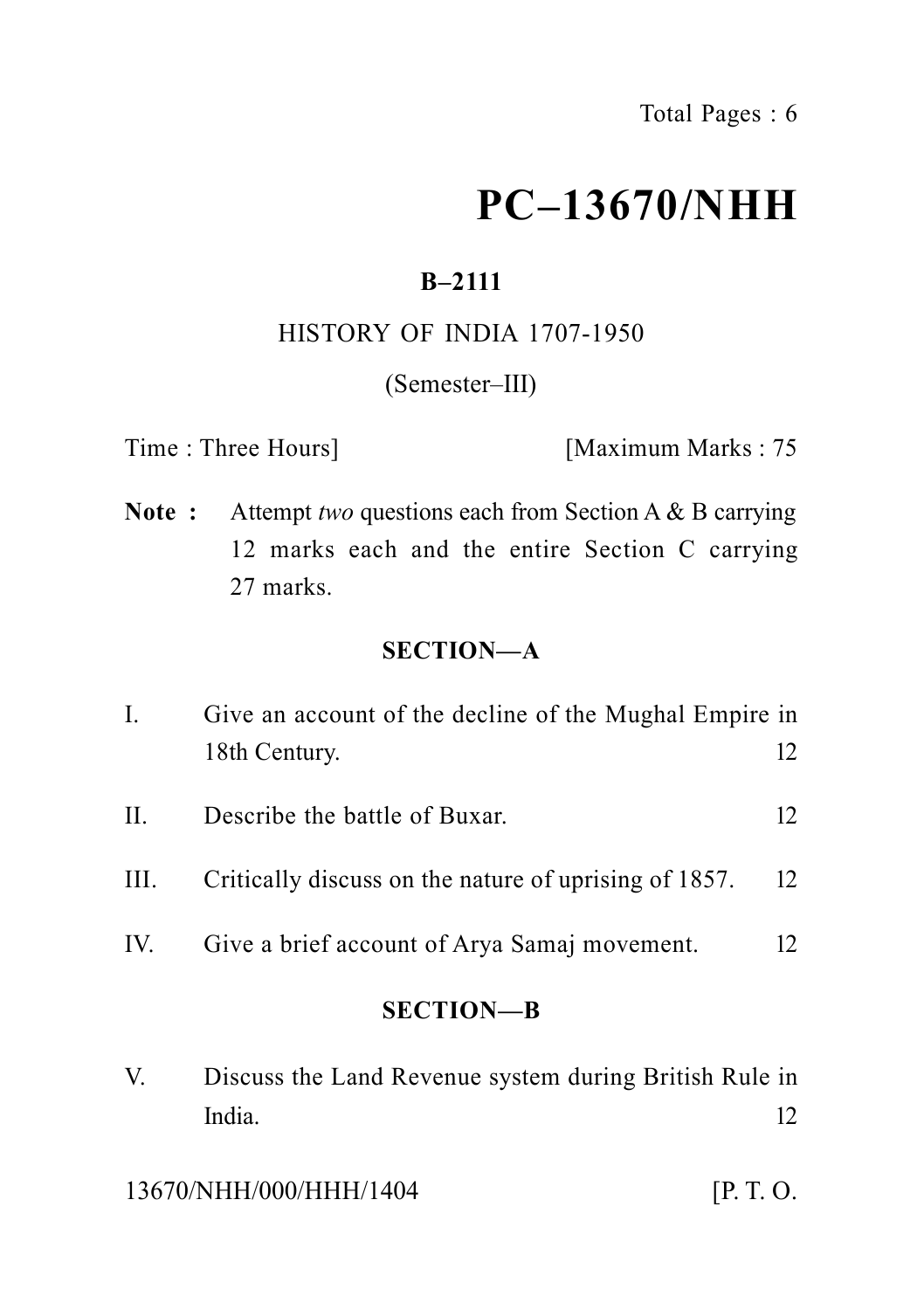# **PC–13670/NHH**

### **B–2111**

### HISTORY OF INDIA 1707-1950

### (Semester–III)

Time : Three Hours] [Maximum Marks : 75

**Note :** Attempt *two* questions each from Section A & B carrying 12 marks each and the entire Section C carrying 27 marks.

### **SECTION—A**

| I.        | Give an account of the decline of the Mughal Empire in |    |
|-----------|--------------------------------------------------------|----|
|           | 18th Century.                                          | 12 |
| $\prod$ . | Describe the battle of Buxar.                          | 12 |
| III.      | Critically discuss on the nature of uprising of 1857.  | 12 |
| IV.       | Give a brief account of Arya Samaj movement.           | 12 |
|           | <b>SECTION-B</b>                                       |    |
|           |                                                        |    |

V. Discuss the Land Revenue system during British Rule in India. 12

13670/NHH/000/HHH/1404 [P. T. O.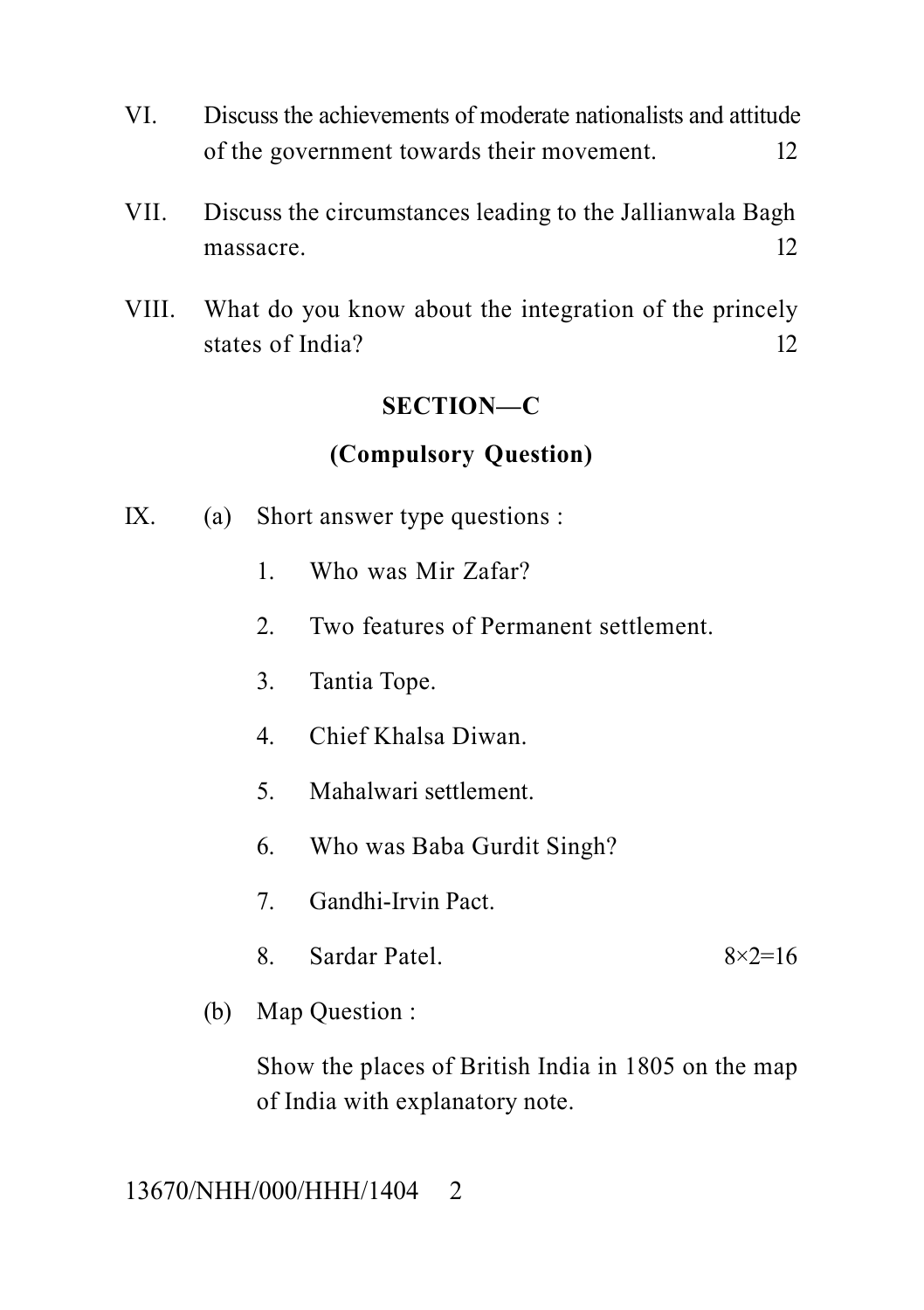- VI. Discuss the achievements of moderate nationalists and attitude of the government towards their movement. 12
- VII. Discuss the circumstances leading to the Jallianwala Bagh massacre. 12
- VIII. What do you know about the integration of the princely states of India? 12

### **SECTION—C**

### **(Compulsory Question)**

- IX. (a) Short answer type questions :
	- 1. Who was Mir Zafar?
	- 2. Two features of Permanent settlement.
	- 3. Tantia Tope.
	- 4. Chief Khalsa Diwan.
	- 5. Mahalwari settlement.
	- 6. Who was Baba Gurdit Singh?
	- 7. Gandhi-Irvin Pact.
	- 8. Sardar Patel.  $8 \times 2 = 16$
	- (b) Map Question :

Show the places of British India in 1805 on the map of India with explanatory note.

13670/NHH/000/HHH/1404 2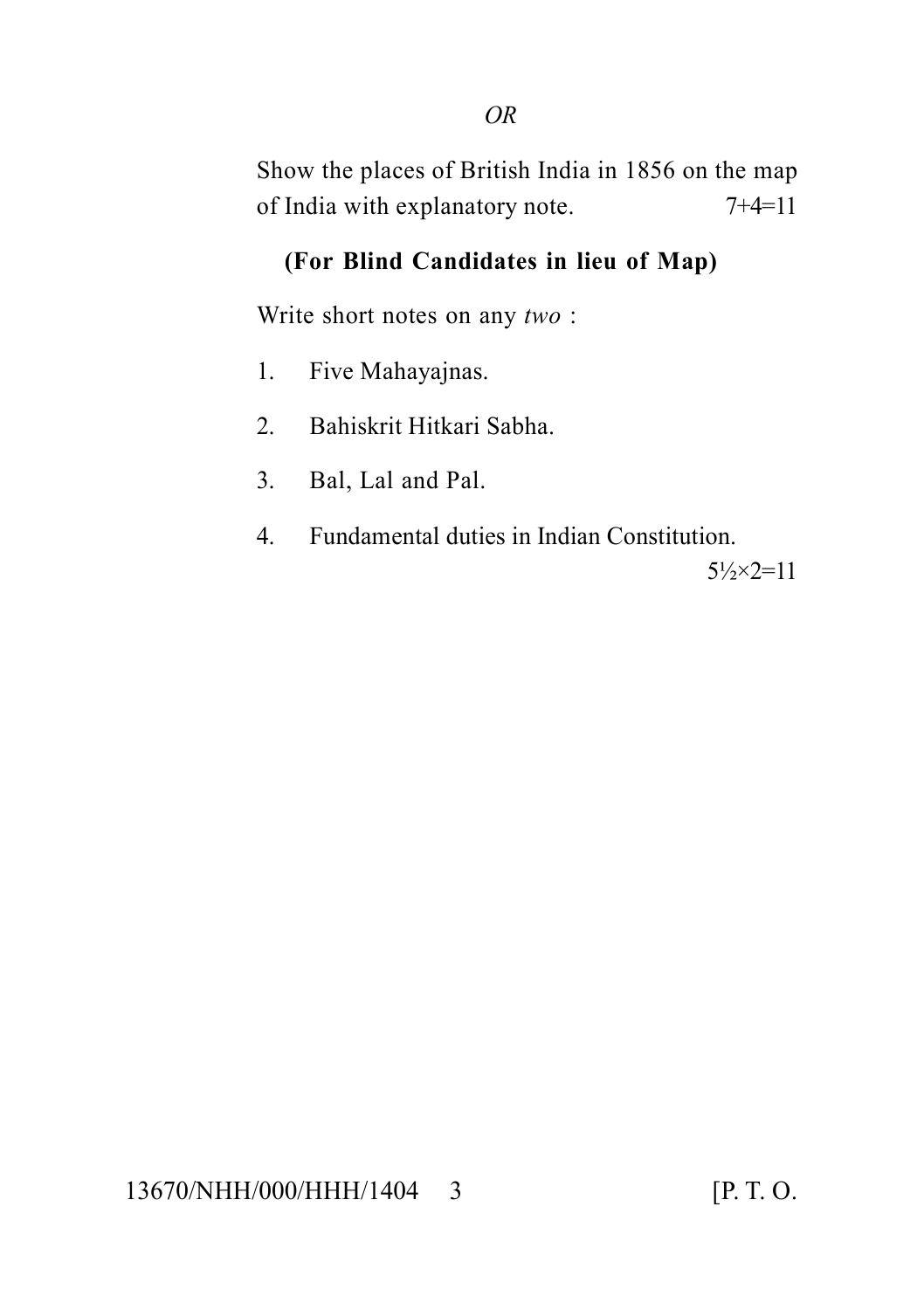Show the places of British India in 1856 on the map of India with explanatory note. 7+4=11

### **(For Blind Candidates in lieu of Map)**

Write short notes on any *two* :

- 1. Five Mahayajnas.
- 2. Bahiskrit Hitkari Sabha.
- 3. Bal, Lal and Pal.
- 4. Fundamental duties in Indian Constitution.  $5\frac{1}{2} \times 2 = 11$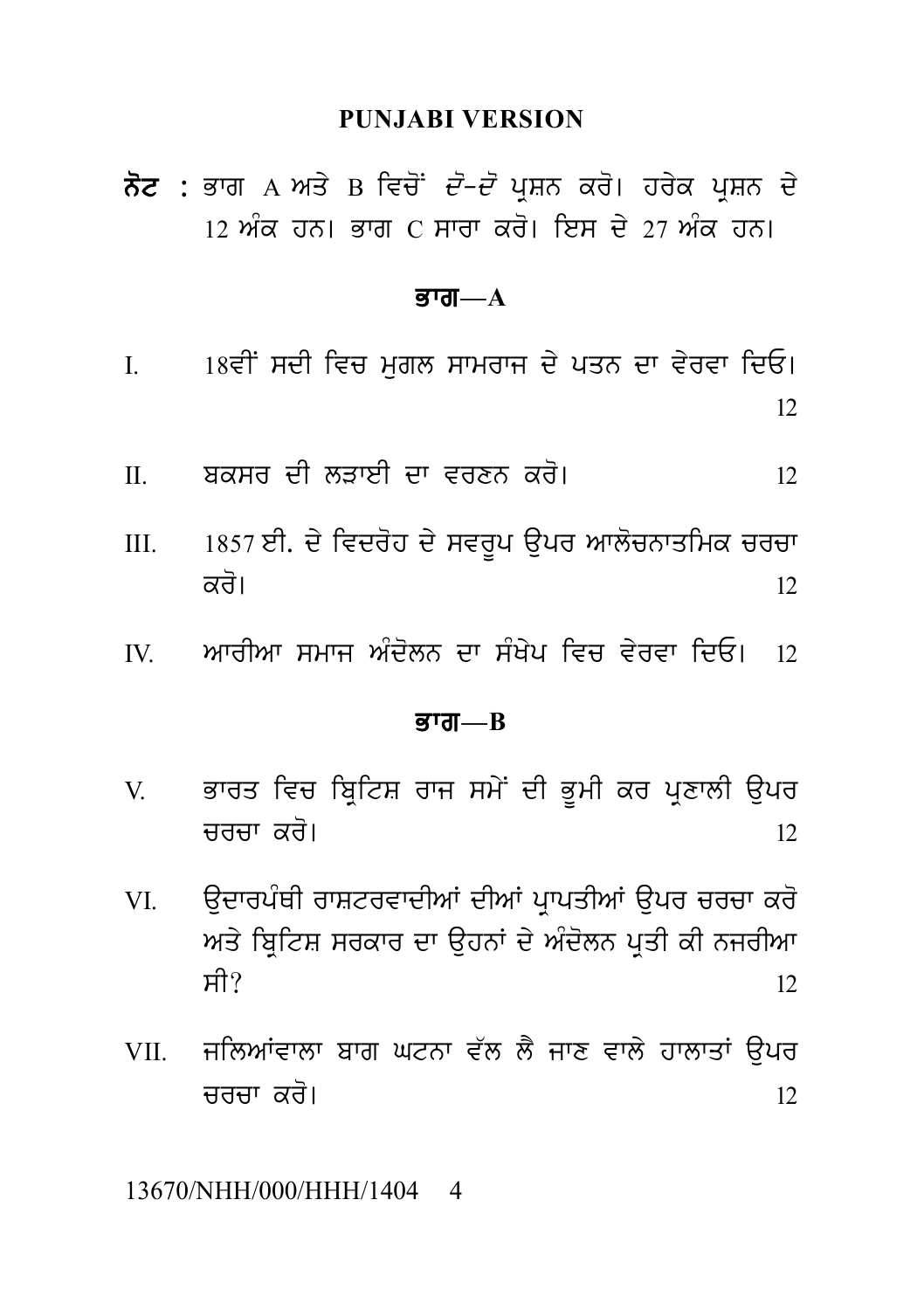#### **PUNJABI VERSION**

PUNJABI VERSION<br>ਨੋਟ : ਭਾਗ A ਅਤੇ B ਵਿਚੋਂ *ਦੋ–ਦੋ* ਪ੍ਰਸ਼ਨ ਕਰੋ। ਹਰੇਕ ਪ੍ਰਸ਼ਨ ਦੇ<br>12 ਅੰਕ ਹਨ। ਭਾਗ C ਸਾਰਾ ਕਰੋ। ਇਸ ਦੇ 27 ਅੰਕ ਹਨ। <mark>ਨੋਟ :</mark> ਭਾਗ A ਅਤੇ B ਵਿਚੋਂ *ਦੋ–ਦੋ* ਪ੍ਰਸ਼ਨ ਕਰੋ। ਹਰੇਕ ਪ੍ਰਸ਼ਨ ਦੇ<br>12 ਅੰਕ ਹਨ। ਭਾਗ C ਸਾਰਾ ਕਰੋ। ਇਸ ਦੇ 27 ਅੰਕ ਹਨ।

#### ਭਾਗ $-A$

- $12$  ਅਕ ਹਨ। ਭਾਗ C ਸਾਰਾ ਕਰ। ਇਸ ਦੇ 27 ਅਕ ਹਨ।<br>**ਭਾਗ—A**<br>I. 18ਵੀਂ ਸਦੀ ਵਿਚ ਮੁਗਲ ਸਾਮਰਾਜ ਦੇ ਪਤਨ ਦਾ ਵੇਰਵਾ ਦਿਓ।<br> $12$ 12 II. bksr dI lVweI dw vrxn kr o[ <sup>12</sup>
- 
- III. <sup>1857</sup>eI. d y ivdr oh d y svr Up a upr Awl ocnwqimk crcw kr o[ <sup>12</sup> IV. AwrIAw smwj A Md oln dw s MK yp ivc v yrvw idE[ <sup>12</sup>
- 

#### <u>ਭਾਗ—B</u>

- V. Bwrq ivc ib RitS rwj sm yN dI B UmI kr p RxwlI a upr ਭਾਰਤ ਵਿਚ ਬ੍ਰਿਟਿਸ਼ ਰਾਜ ਸਮੇਂ ਦੀ ਭੂਮੀ ਕਰ ਪ੍ਰਣਾਲੀ ਉਪਰ<br>12<br>ਉਦਾਰਪੰਥੀ ਰਾਸ਼ਟਰਵਾਦੀਆਂ ਦੀਆਂ ਪ੍ਰਾਪਤੀਆਂ ਉਪਰ ਚਰਚਾ ਕਰੋ<br>ਅਤੇ ਬਿਟਿਸ਼ ਸਰਕਾਰ ਦਾ ੳਹਨਾਂ ਦੇ ਅੰਦੋਲਨ ਪਤੀ ਕੀ ਨਜਰੀਆ
- VI. a udwrp MQI rwStrvwdIAW dIAW p RwpqIAW a upr crcw kr o VI. ਉਦਾਰਪੰਥੀ ਰਾਸ਼ਟਰਵਾਦੀਆਂ ਦੀਆਂ ਪ੍ਰਾਪਤੀਆਂ ਉਪਰ ਚਰਚਾ ਕਰੋ<br>ਅਤੇ ਬ੍ਰਿਟਿਸ਼ ਸਰਕਾਰ ਦਾ ਉਹਨਾਂ ਦੇ ਅੰਦੋਲਨ ਪ੍ਰਤੀ ਕੀ ਨਜਰੀਆ<br>ਸੀ?<br>VII. ਜਲਿਆਂਵਾਲਾ ਬਾਗ ਘਟਨਾ ਵੱਲ ਲੈ ਜਾਣ ਵਾਲੇ ਹਾਲਾਤਾਂ ਉਪਰ  $H$ ?  $12$ ਅਤੇ ਬ੍ਰਿਟਿਸ਼ ਸਰਕਾਰ ਦਾ ਉਹਨਾਂ ਦੇ ਅੰਦੋਲਨ ਪ੍ਰਤੀ ਕੀ ਨਜਰੀਆ<br>ਸੀ?<br>VII. ਜਲਿਆਂਵਾਲਾ ਬਾਗ ਘਟਨਾ ਵੱਲ ਲੈ ਜਾਣ ਵਾਲੇ ਹਾਲਾਤਾਂ ਉਪਰ<br>ਚਰਚਾ ਕਰੋ।<br>12
- crcw kr o[ <sup>12</sup>

#### 13670/NHH/000/HHH/1404 4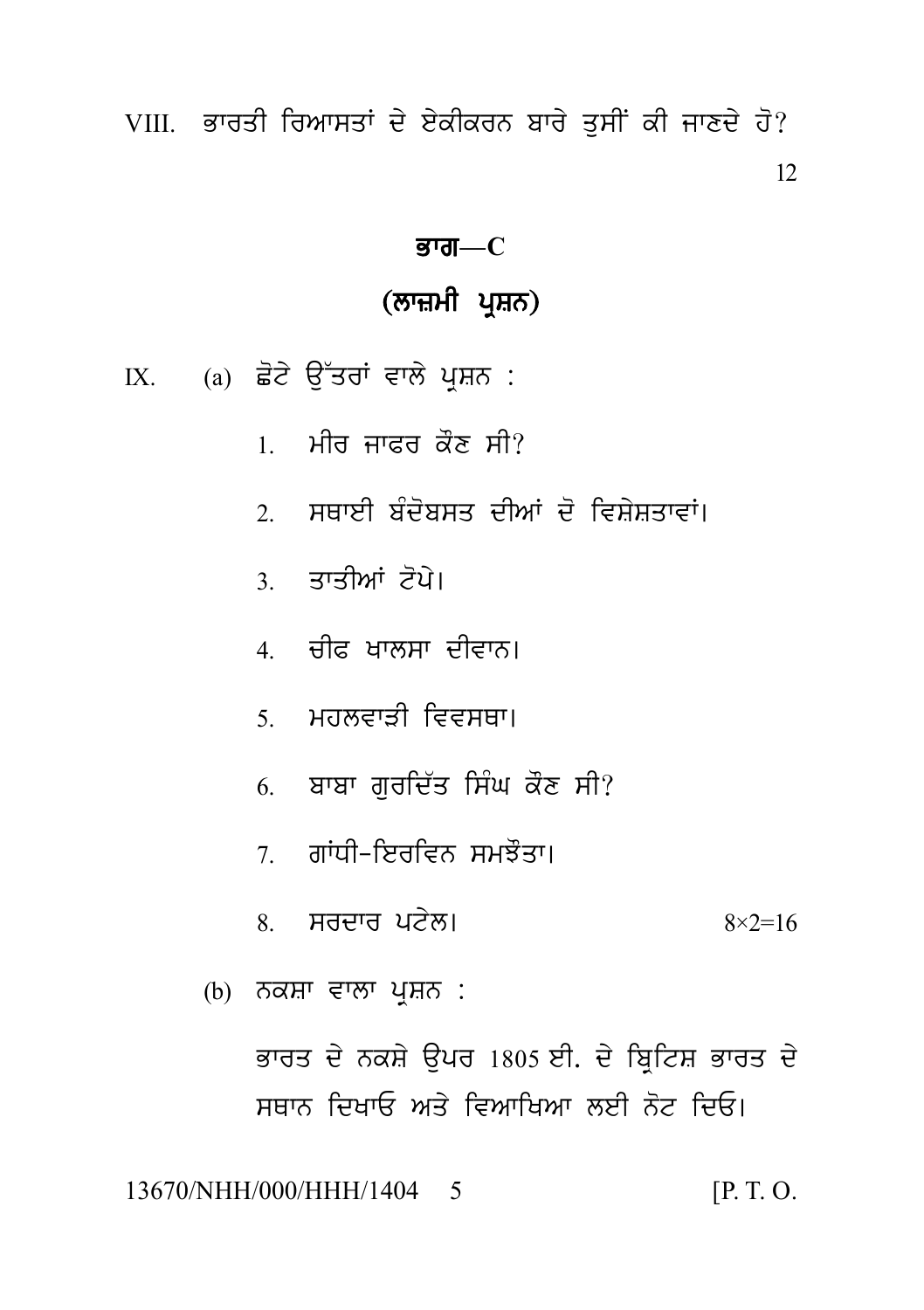VIII. ਭਾਰਤੀ ਰਿਆਸਤਾਂ ਦੇ ਏਕੀਕਰਨ ਬਾਰੇ ਤਸੀਂ ਕੀ ਜਾਣਦੇ ਹੋ? 12

### ਭਾਗ $-C$

### (ਲਾਜ਼ਮੀ ਪ੍ਰਸ਼ਨ)

IX. (a) ਛੋਟੇ ਉੱਤਰਾਂ ਵਾਲੇ ਪੁਸ਼ਨ :

- ਮੀਰ ਜਾਫ਼ਰ ਕੌਣ ਸੀ?  $1$
- ਸਥਾਈ ਸੰਦੋਸ਼ਸਤ ਦੀਆਂ ਦੋ ਵਿਸ਼ੇਸ਼ਤਾਵਾਂ।  $\mathfrak{I}$
- 3. ਤਾਤੀਆਂ ਟੋਪੇ।
- 4 ਚੀਫ਼ ਖਾਲਸਾ ਦੀਵਾਨ।
- ਼ ਮਹਲਵਾਤੀ ਵਿਵਸਥਾ।
- 6. ਬਾਬਾ ਗਰਦਿੱਤ ਸਿੰਘ ਕੌਣ ਸੀ?
- 7 ਗਾਂਧੀ-ਇਰਵਿਨ ਸਮਝੌਤਾ।
- $\overline{8}$  ਸਰਦਾਰ ਪਟੇਲ।  $8 \times 2 = 16$
- (b) ਨਕਸ਼ਾ ਵਾਲਾ ਪਸ਼ਨ :

ਭਾਰਤ ਦੇ ਨਕਸ਼ੇ ਉਪਰ 1805 ਈ. ਦੇ ਬ੍ਰਿਟਿਸ਼ ਭਾਰਤ ਦੇ ਸਥਾਨ ਦਿਖਾਓ ਅਤੇ ਵਿਆਖਿਆ ਲਈ ਨੋਟ ਦਿਓ।

13670/NHH/000/HHH/1404 5  $[P. T. O.$